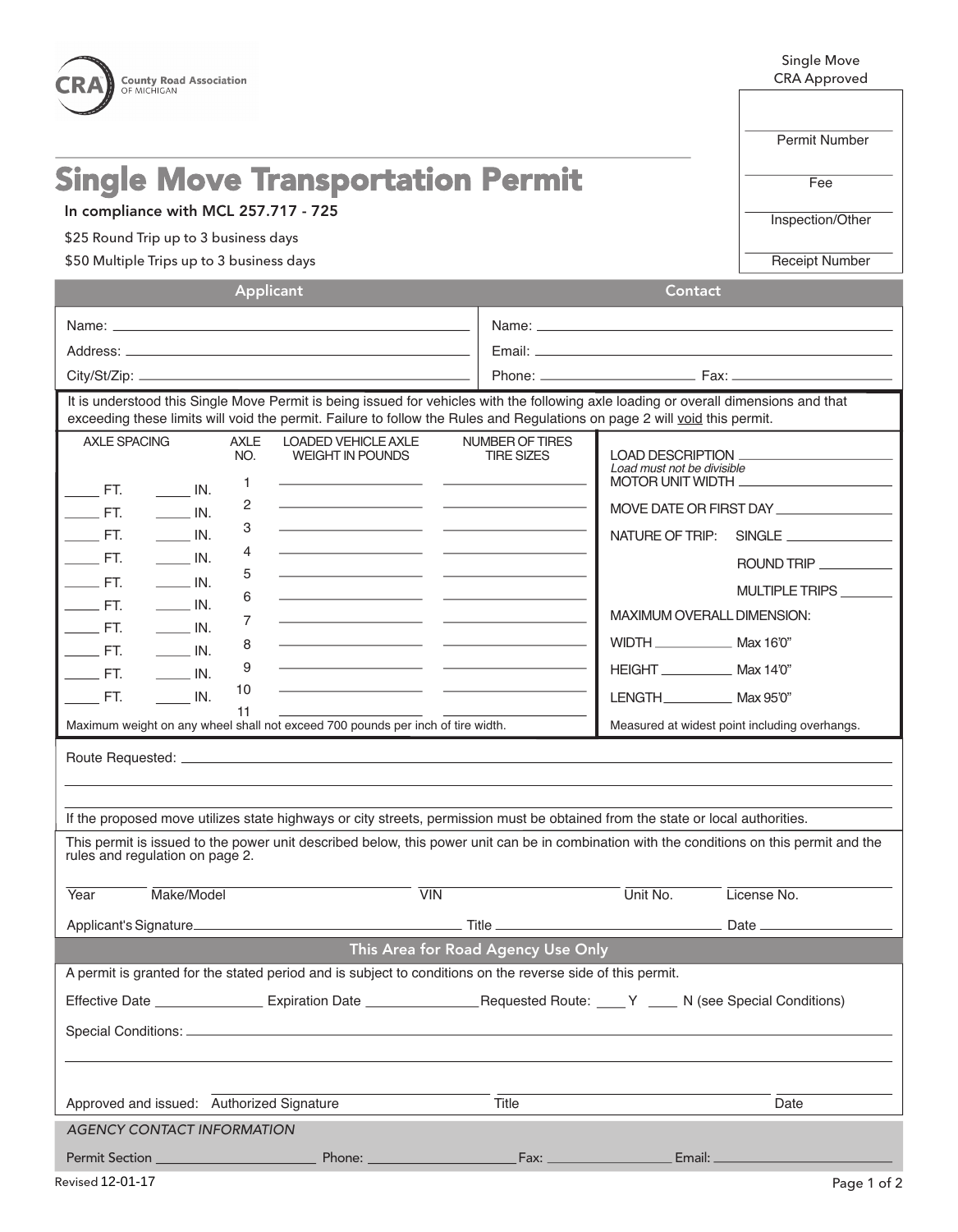| OF MICHIGAN<br>OCEANA COUNTY ROAD COMMISSION<br><b>Single Move Transportation Permit</b><br>In compliance with MCL 257.717 - 725<br>\$25 Round Trip up to 3 business days<br>\$50 Multiple Trips up to 3 business days                                            | Permit Number<br>Fee<br>Inspection/Other<br><b>Receipt Number</b> |  |
|-------------------------------------------------------------------------------------------------------------------------------------------------------------------------------------------------------------------------------------------------------------------|-------------------------------------------------------------------|--|
|                                                                                                                                                                                                                                                                   |                                                                   |  |
|                                                                                                                                                                                                                                                                   |                                                                   |  |
|                                                                                                                                                                                                                                                                   |                                                                   |  |
|                                                                                                                                                                                                                                                                   |                                                                   |  |
|                                                                                                                                                                                                                                                                   |                                                                   |  |
| Applicant<br>Contact                                                                                                                                                                                                                                              |                                                                   |  |
|                                                                                                                                                                                                                                                                   |                                                                   |  |
|                                                                                                                                                                                                                                                                   |                                                                   |  |
|                                                                                                                                                                                                                                                                   |                                                                   |  |
| It is understood this Single Move Permit is being issued for vehicles with the following axle loading or overall dimensions and that<br>exceeding these limits will void the permit. Failure to follow the Rules and Regulations on page 2 will void this permit. |                                                                   |  |
| <b>AXLE SPACING</b><br><b>AXLE</b><br><b>LOADED VEHICLE AXLE</b><br>NUMBER OF TIRES<br>NO.<br><b>WEIGHT IN POUNDS</b><br><b>TIRE SIZES</b>                                                                                                                        |                                                                   |  |
| Load must not be divisible<br>MOTOR UNIT WIDTH<br>1.                                                                                                                                                                                                              |                                                                   |  |
| $\qquad$ FT.<br>$\frac{1}{\sqrt{1-\frac{1}{2}}}$ IN.<br>2<br>MOVE DATE OR FIRST DAY                                                                                                                                                                               |                                                                   |  |
| $\rule{1em}{0.15mm}$ FT.<br>$\frac{1}{2}$ IN.<br>3<br><u> 1989 - Andrea Stadt, fransk politik (* 1958)</u><br>$\frac{1}{2}$ IN.<br>$\rule{1em}{0.15mm}$ FT.<br>NATURE OF TRIP: SINGLE                                                                             |                                                                   |  |
| 4<br>$\rule{1em}{0.15mm}$ FT.<br>$\frac{1}{\sqrt{1-\frac{1}{2}}}$ IN.                                                                                                                                                                                             |                                                                   |  |
| 5<br>$\frac{1}{\sqrt{1-\frac{1}{2}}}$ IN.<br>$\rule{1em}{0.15mm}$ FT.                                                                                                                                                                                             | ROUND TRIP                                                        |  |
| 6<br><u> 1989 - Johann Harry Harry Harry Harry Harry Harry Harry Harry Harry Harry Harry Harry Harry Harry Harry Harry</u><br>$\rule{1em}{0.15mm}$ FT.<br>$\frac{1}{\sqrt{1-\frac{1}{2}}}$ IN.                                                                    | MULTIPLE TRIPS ______                                             |  |
| MAXIMUM OVERALL DIMENSION:<br><u> 1989 - Johann Harry Harry Barn, mars and de final and description of the second second second second second</u><br>7<br>$\rule{1em}{0.15mm}$ FT.<br>$\frac{1}{\sqrt{1-\frac{1}{2}}}$ IN.                                        |                                                                   |  |
| WIDTH ________________ Max 16'0"<br><u> 1989 - Andrea Stadt, fransk politik (d. 1989)</u><br>8<br>$\rule{1em}{0.15mm}$ FT.<br>$\overline{\phantom{a}}$ IN.                                                                                                        |                                                                   |  |
| <u> 1989 - Johann Harry Harry Harry Harry Harry Harry Harry Harry Harry Harry Harry Harry Harry Harry Harry Harry</u><br>9<br>HEIGHT ______________ Max 14'0"<br>$\rule{1em}{0.15mm}$ FT.<br>$\frac{1}{\sqrt{1-\frac{1}{2}}}$ IN.                                 |                                                                   |  |
| the control of the control of the con-<br>10<br><b>ET.</b><br>IN.<br>11                                                                                                                                                                                           |                                                                   |  |
| Maximum weight on any wheel shall not exceed 700 pounds per inch of tire width.                                                                                                                                                                                   | Measured at widest point including overhangs.                     |  |
|                                                                                                                                                                                                                                                                   |                                                                   |  |
|                                                                                                                                                                                                                                                                   |                                                                   |  |
| If the proposed move utilizes state highways or city streets, permission must be obtained from the state or local authorities.                                                                                                                                    |                                                                   |  |
| This permit is issued to the power unit described below, this power unit can be in combination with the conditions on this permit and the<br>rules and regulation on page 2.                                                                                      |                                                                   |  |
| Make/Model<br>$\overline{V}$ IN<br>Unit No.<br>License No.<br>Year                                                                                                                                                                                                |                                                                   |  |
|                                                                                                                                                                                                                                                                   |                                                                   |  |
| This Area for Road Agency Use Only                                                                                                                                                                                                                                |                                                                   |  |
| A permit is granted for the stated period and is subject to conditions on the reverse side of this permit.                                                                                                                                                        |                                                                   |  |
|                                                                                                                                                                                                                                                                   |                                                                   |  |
|                                                                                                                                                                                                                                                                   |                                                                   |  |
|                                                                                                                                                                                                                                                                   |                                                                   |  |

Approved and issued: Authorized Signature Title Title The Date Date Date Date AGENCY CONTACT INFORMATION Permit Section Phone: Fax: Email: